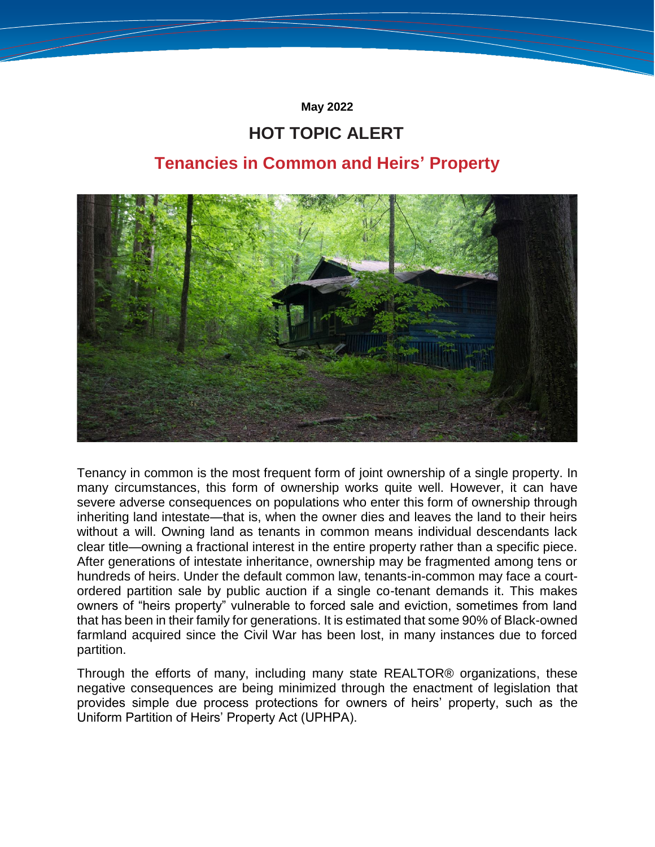**May 2022**

# **HOT TOPIC ALERT**

# **Tenancies in Common and Heirs' Property**



Tenancy in common is the most frequent form of joint ownership of a single property. In many circumstances, this form of ownership works quite well. However, it can have severe adverse consequences on populations who enter this form of ownership through inheriting land intestate—that is, when the owner dies and leaves the land to their heirs without a will. Owning land as tenants in common means individual descendants lack clear title—owning a fractional interest in the entire property rather than a specific piece. After generations of intestate inheritance, ownership may be fragmented among tens or hundreds of heirs. Under the default common law, tenants-in-common may face a courtordered partition sale by public auction if a single co-tenant demands it. This makes owners of "heirs property" vulnerable to forced sale and eviction, sometimes from land that has been in their family for generations. It is estimated that some 90% of Black-owned farmland acquired since the Civil War has been lost, in many instances due to forced partition.

Through the efforts of many, including many state REALTOR® organizations, these negative consequences are being minimized through the enactment of legislation that provides simple due process protections for owners of heirs' property, such as the Uniform Partition of Heirs' Property Act (UPHPA).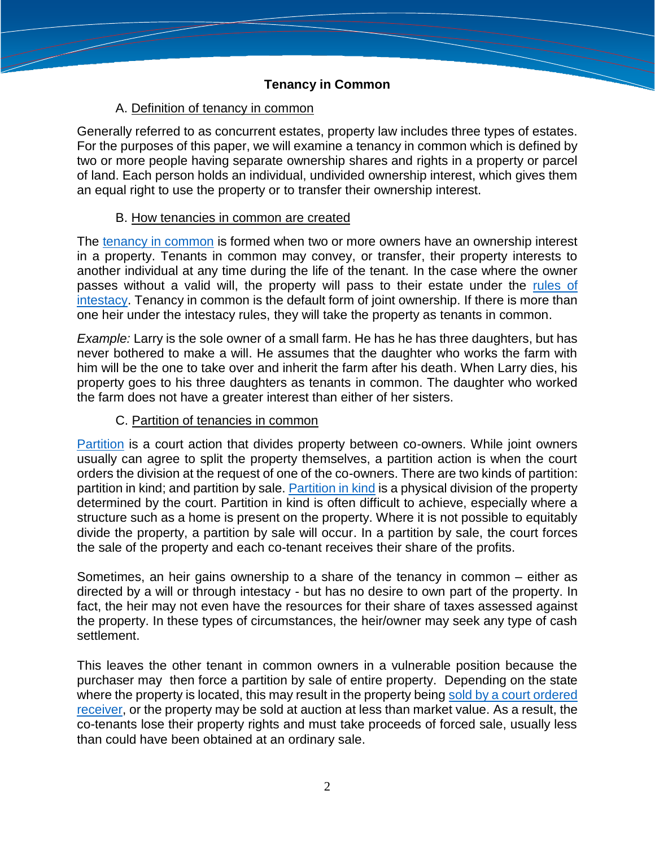## A. Definition of tenancy in common

Generally referred to as concurrent estates, property law includes three types of estates. For the purposes of this paper, we will examine a tenancy in common which is defined by two or more people having separate ownership shares and rights in a property or parcel of land. Each person holds an individual, undivided ownership interest, which gives them an equal right to use the property or to transfer their ownership interest.

#### B. How tenancies in common are created

The [tenancy in common](https://www.investopedia.com/terms/t/tenancy_in_common.asp) is formed when two or more owners have an ownership interest in a property. Tenants in common may convey, or transfer, their property interests to another individual at any time during the life of the tenant. In the case where the owner passes without a valid will, the property will pass to their estate under the [rules of](https://www.thebalance.com/who-inherits-property-owned-as-tenants-in-common-3505229)  [intestacy.](https://www.thebalance.com/who-inherits-property-owned-as-tenants-in-common-3505229) Tenancy in common is the default form of joint ownership. If there is more than one heir under the intestacy rules, they will take the property as tenants in common.

*Example:* Larry is the sole owner of a small farm. He has he has three daughters, but has never bothered to make a will. He assumes that the daughter who works the farm with him will be the one to take over and inherit the farm after his death. When Larry dies, his property goes to his three daughters as tenants in common. The daughter who worked the farm does not have a greater interest than either of her sisters.

#### C. Partition of tenancies in common

[Partition](https://www.law.cornell.edu/wex/partition) is a court action that divides property between co-owners. While joint owners usually can agree to split the property themselves, a partition action is when the court orders the division at the request of one of the co-owners. There are two kinds of partition: partition in kind; and partition by sale. [Partition in kind](https://jonespropertylaw.com/partition-action-for-tenants-in-common/) is a physical division of the property determined by the court. Partition in kind is often difficult to achieve, especially where a structure such as a home is present on the property. Where it is not possible to equitably divide the property, a partition by sale will occur. In a partition by sale, the court forces the sale of the property and each co-tenant receives their share of the profits.

Sometimes, an heir gains ownership to a share of the tenancy in common – either as directed by a will or through intestacy - but has no desire to own part of the property. In fact, the heir may not even have the resources for their share of taxes assessed against the property. In these types of circumstances, the heir/owner may seek any type of cash settlement.

This leaves the other tenant in common owners in a vulnerable position because the purchaser may then force a partition by sale of entire property. Depending on the state where the property is located, this may result in the property being sold by a court ordered [receiver,](https://www.realized1031.com/blog/petition-to-partition-when-co-tenants-just-cant) or the property may be sold at auction at less than market value. As a result, the co-tenants lose their property rights and must take proceeds of forced sale, usually less than could have been obtained at an ordinary sale.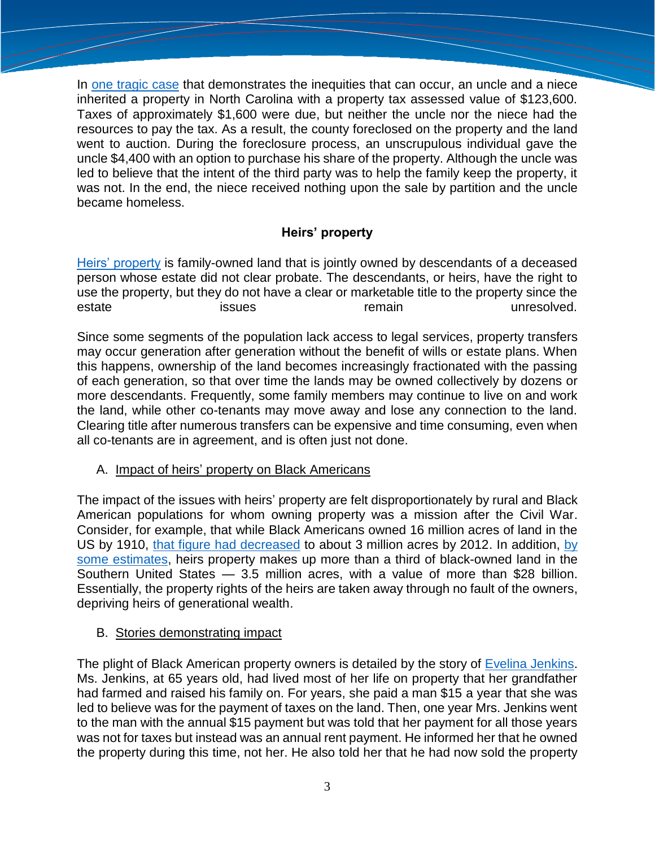In [one tragic case](https://www.deeds.com/articles/losing-the-family-home-to-partition-law/) that demonstrates the inequities that can occur, an uncle and a niece inherited a property in North Carolina with a property tax assessed value of \$123,600. Taxes of approximately \$1,600 were due, but neither the uncle nor the niece had the resources to pay the tax. As a result, the county foreclosed on the property and the land went to auction. During the foreclosure process, an unscrupulous individual gave the uncle \$4,400 with an option to purchase his share of the property. Although the uncle was led to believe that the intent of the third party was to help the family keep the property, it was not. In the end, the niece received nothing upon the sale by partition and the uncle became homeless.

# **Heirs' property**

[Heirs' property](http://www.hprc.southerncoalition.org/?q=node/5) is family-owned land that is jointly owned by descendants of a deceased person whose estate did not clear probate. The descendants, or heirs, have the right to use the property, but they do not have a clear or marketable title to the property since the estate issues issues remain unresolved.

Since some segments of the population lack access to legal services, property transfers may occur generation after generation without the benefit of wills or estate plans. When this happens, ownership of the land becomes increasingly fractionated with the passing of each generation, so that over time the lands may be owned collectively by dozens or more descendants. Frequently, some family members may continue to live on and work the land, while other co-tenants may move away and lose any connection to the land. Clearing title after numerous transfers can be expensive and time consuming, even when all co-tenants are in agreement, and is often just not done.

#### A. Impact of heirs' property on Black Americans

The impact of the issues with heirs' property are felt disproportionately by rural and Black American populations for whom owning property was a mission after the Civil War. Consider, for example, that while Black Americans owned 16 million acres of land in the US by 1910, [that figure had decreased](https://link.springer.com/article/10.1007/s12111-018-9394-8) to about 3 million acres by 2012. In addition, [by](https://features.propublica.org/black-land-loss/heirs-property-rights-why-black-families-lose-land-south/)  [some estimates,](https://features.propublica.org/black-land-loss/heirs-property-rights-why-black-families-lose-land-south/) heirs property makes up more than a third of black-owned land in the Southern United States — 3.5 million acres, with a value of more than \$28 billion. Essentially, the property rights of the heirs are taken away through no fault of the owners, depriving heirs of generational wealth.

#### B. Stories demonstrating impact

The plight of Black American property owners is detailed by the story of [Evelina Jenkins.](https://www.nytimes.com/1972/12/07/archives/blacks-in-south-struggle-to-keep-the-little-land-they-have-left.html) Ms. Jenkins, at 65 years old, had lived most of her life on property that her grandfather had farmed and raised his family on. For years, she paid a man \$15 a year that she was led to believe was for the payment of taxes on the land. Then, one year Mrs. Jenkins went to the man with the annual \$15 payment but was told that her payment for all those years was not for taxes but instead was an annual rent payment. He informed her that he owned the property during this time, not her. He also told her that he had now sold the property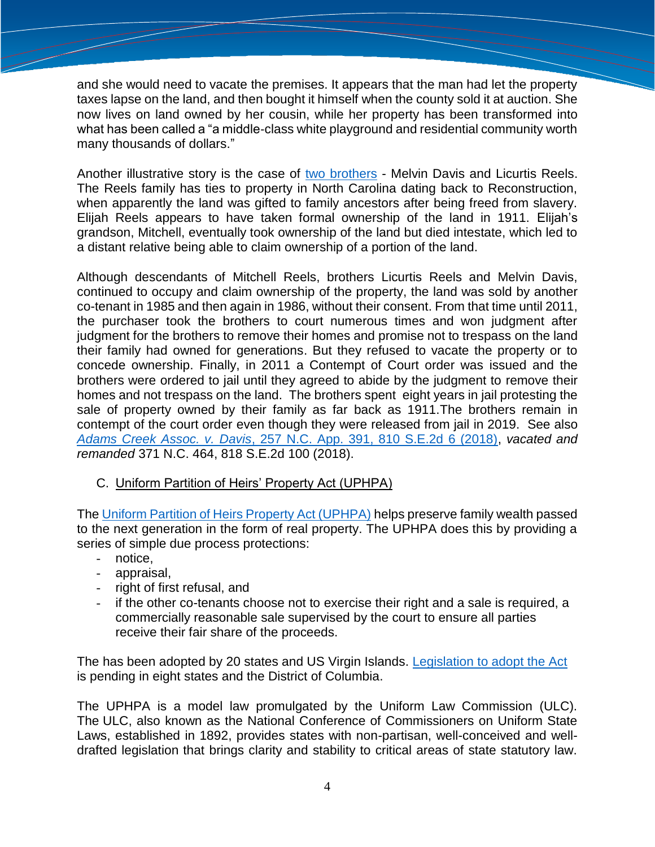and she would need to vacate the premises. It appears that the man had let the property taxes lapse on the land, and then bought it himself when the county sold it at auction. She now lives on land owned by her cousin, while her property has been transformed into what has been called a "a middle-class white playground and residential community worth many thousands of dollars."

Another illustrative story is the case of [two brothers](https://abc11.com/carteret-county-brothers-contempt-of-court-melvin-davis/5163473/) - Melvin Davis and Licurtis Reels. The Reels family has ties to property in North Carolina dating back to Reconstruction, when apparently the land was gifted to family ancestors after being freed from slavery. Elijah Reels appears to have taken formal ownership of the land in 1911. Elijah's grandson, Mitchell, eventually took ownership of the land but died intestate, which led to a distant relative being able to claim ownership of a portion of the land.

Although descendants of Mitchell Reels, brothers Licurtis Reels and Melvin Davis, continued to occupy and claim ownership of the property, the land was sold by another co-tenant in 1985 and then again in 1986, without their consent. From that time until 2011, the purchaser took the brothers to court numerous times and won judgment after judgment for the brothers to remove their homes and promise not to trespass on the land their family had owned for generations. But they refused to vacate the property or to concede ownership. Finally, in 2011 a Contempt of Court order was issued and the brothers were ordered to jail until they agreed to abide by the judgment to remove their homes and not trespass on the land. The brothers spent eight years in jail protesting the sale of property owned by their family as far back as 1911.The brothers remain in contempt of the court order even though they were released from jail in 2019. See also *Adams Creek Assoc. v. Davis*[, 257 N.C. App. 391, 810 S.E.2d 6 \(2018\),](https://scholar.google.com/scholar_case?case=14829221243379106212&q=810+S.E.2d+6+&hl=en&as_sdt=6,24) *vacated and remanded* 371 N.C. 464, 818 S.E.2d 100 (2018).

# C. Uniform Partition of Heirs' Property Act (UPHPA)

The [Uniform Partition of Heirs Property Act \(UPHPA\)](https://www.uniformlaws.org/committees/community-home?CommunityKey=50724584-e808-4255-bc5d-8ea4e588371d) helps preserve family wealth passed to the next generation in the form of real property. The UPHPA does this by providing a series of simple due process protections:

- notice,
- appraisal,
- right of first refusal, and
- if the other co-tenants choose not to exercise their right and a sale is required, a commercially reasonable sale supervised by the court to ensure all parties receive their fair share of the proceeds.

The has been adopted by 20 states and US Virgin Islands. [Legislation to adopt the Act](https://www.uniformlaws.org/committees/community-home?CommunityKey=50724584-e808-4255-bc5d-8ea4e588371d) is pending in eight states and the District of Columbia.

The UPHPA is a model law promulgated by the Uniform Law Commission (ULC). The ULC, also known as the National Conference of Commissioners on Uniform State Laws, established in 1892, provides states with non-partisan, well-conceived and welldrafted legislation that brings clarity and stability to critical areas of state statutory law.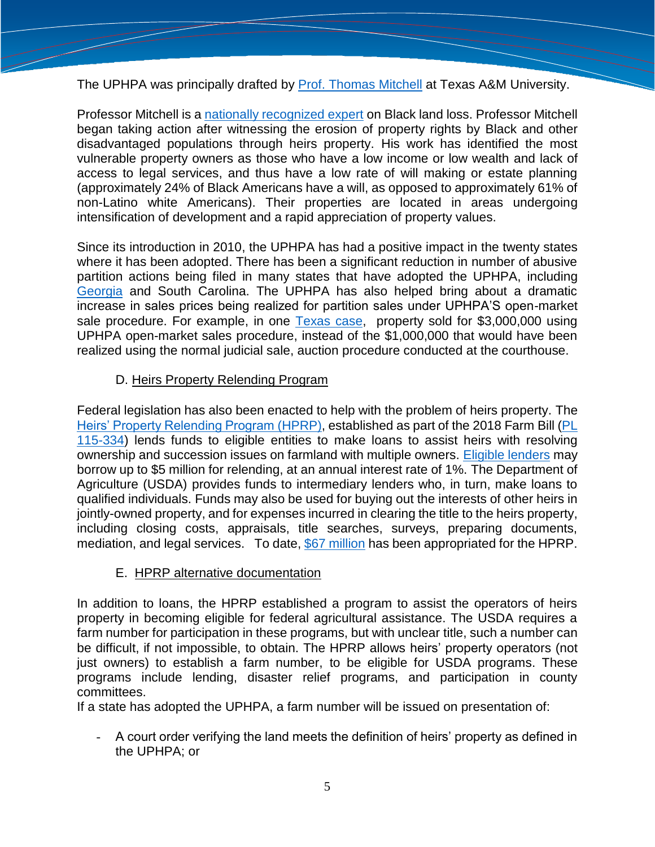The UPHPA was principally drafted by [Prof. Thomas Mitchell](https://www.macfound.org/fellows/class-of-2020/thomas-wilson-mitchell) at Texas A&M University.

Professor Mitchell is a [nationally recognized expert](https://www.lawandsociety.org/2020/08/26/lsa-stories-defying-great-odds-mitigating-property-loss-through-historic-partition-law-reform-in-the-u-s/) on Black land loss. Professor Mitchell began taking action after witnessing the erosion of property rights by Black and other disadvantaged populations through heirs property. His work has identified the most vulnerable property owners as those who have a low income or low wealth and lack of access to legal services, and thus have a low rate of will making or estate planning (approximately 24% of Black Americans have a will, as opposed to approximately 61% of non-Latino white Americans). Their properties are located in areas undergoing intensification of development and a rapid appreciation of property values.

Since its introduction in 2010, the UPHPA has had a positive impact in the twenty states where it has been adopted. There has been a significant reduction in number of abusive partition actions being filed in many states that have adopted the UPHPA, including [Georgia](https://likenknowledge.org/wp-content/uploads/2021/11/FINAL-REPORT.pdf) and South Carolina. The UPHPA has also helped bring about a dramatic increase in sales prices being realized for partition sales under UPHPA'S open-market sale procedure. For example, in one [Texas case,](https://www.pewtrusts.org/en/research-and-analysis/blogs/stateline/2019/06/18/new-laws-help-rural-black-families-fight-for-their-land) property sold for \$3,000,000 using UPHPA open-market sales procedure, instead of the \$1,000,000 that would have been realized using the normal judicial sale, auction procedure conducted at the courthouse.

## D. Heirs Property Relending Program

Federal legislation has also been enacted to help with the problem of heirs property. The [Heirs' Property Relending Program](https://www.farmers.gov/working-with-us/heirs-property-eligibility/relending#:~:text=Heirs) (HPRP), established as part of the 2018 Farm Bill (PL [115-334\)](https://www.congress.gov/115/plaws/publ334/PLAW-115publ334.pdf) lends funds to eligible entities to make loans to assist heirs with resolving ownership and succession issues on farmland with multiple owners. [Eligible lenders](https://www.fsa.usda.gov/news-room/news-releases/2021/lenders-can-now-apply-for-new-heirs-property-relending-program) may borrow up to \$5 million for relending, at an annual interest rate of 1%. The Department of Agriculture (USDA) provides funds to intermediary lenders who, in turn, make loans to qualified individuals. Funds may also be used for buying out the interests of other heirs in jointly-owned property, and for expenses incurred in clearing the title to the heirs property, including closing costs, appraisals, title searches, surveys, preparing documents, mediation, and legal services. To date, [\\$67 million](https://www.usda.gov/media/press-releases/2021/07/29/biden-administration-invest-67-million-help-heirs-resolve-land) has been appropriated for the HPRP.

#### E. HPRP alternative documentation

In addition to loans, the HPRP established a program to assist the operators of heirs property in becoming eligible for federal agricultural assistance. The USDA requires a farm number for participation in these programs, but with unclear title, such a number can be difficult, if not impossible, to obtain. The HPRP allows heirs' property operators (not just owners) to establish a farm number, to be eligible for USDA programs. These programs include lending, disaster relief programs, and participation in county committees.

If a state has adopted the UPHPA, a farm number will be issued on presentation of:

- A court order verifying the land meets the definition of heirs' property as defined in the UPHPA; or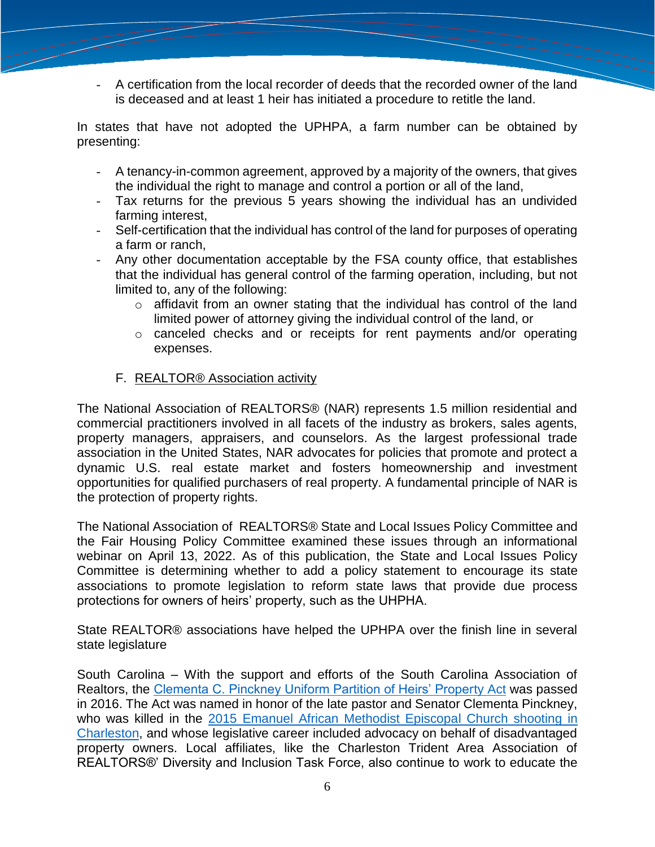- A certification from the local recorder of deeds that the recorded owner of the land is deceased and at least 1 heir has initiated a procedure to retitle the land.

In states that have not adopted the UPHPA, a farm number can be obtained by presenting:

- A tenancy-in-common agreement, approved by a majority of the owners, that gives the individual the right to manage and control a portion or all of the land,
- Tax returns for the previous 5 years showing the individual has an undivided farming interest,
- Self-certification that the individual has control of the land for purposes of operating a farm or ranch,
- Any other documentation acceptable by the FSA county office, that establishes that the individual has general control of the farming operation, including, but not limited to, any of the following:
	- o affidavit from an owner stating that the individual has control of the land limited power of attorney giving the individual control of the land, or
	- o canceled checks and or receipts for rent payments and/or operating expenses.
	- F. REALTOR® Association activity

The National Association of REALTORS® (NAR) represents 1.5 million residential and commercial practitioners involved in all facets of the industry as brokers, sales agents, property managers, appraisers, and counselors. As the largest professional trade association in the United States, NAR advocates for policies that promote and protect a dynamic U.S. real estate market and fosters homeownership and investment opportunities for qualified purchasers of real property. A fundamental principle of NAR is the protection of property rights.

The National Association of REALTORS® State and Local Issues Policy Committee and the Fair Housing Policy Committee examined these issues through an informational webinar on April 13, 2022. As of this publication, the State and Local Issues Policy Committee is determining whether to add a policy statement to encourage its state associations to promote legislation to reform state laws that provide due process protections for owners of heirs' property, such as the UHPHA.

State REALTOR® associations have helped the UPHPA over the finish line in several state legislature

South Carolina – With the support and efforts of the South Carolina Association of Realtors, the [Clementa C. Pinckney Uniform Partition of Heirs' Property Act](https://law.justia.com/codes/south-carolina/2020/title-15/chapter-61/section-15-61-310/) was passed in 2016. The Act was named in honor of the late pastor and Senator Clementa Pinckney, who was killed in the [2015 Emanuel African Methodist Episcopal Church shooting in](https://www.history.com/this-day-in-history/charleston-ame-church-shooting)  [Charleston,](https://www.history.com/this-day-in-history/charleston-ame-church-shooting) and whose legislative career included advocacy on behalf of disadvantaged property owners. Local affiliates, like the Charleston Trident Area Association of REALTORS®' Diversity and Inclusion Task Force, also continue to work to educate the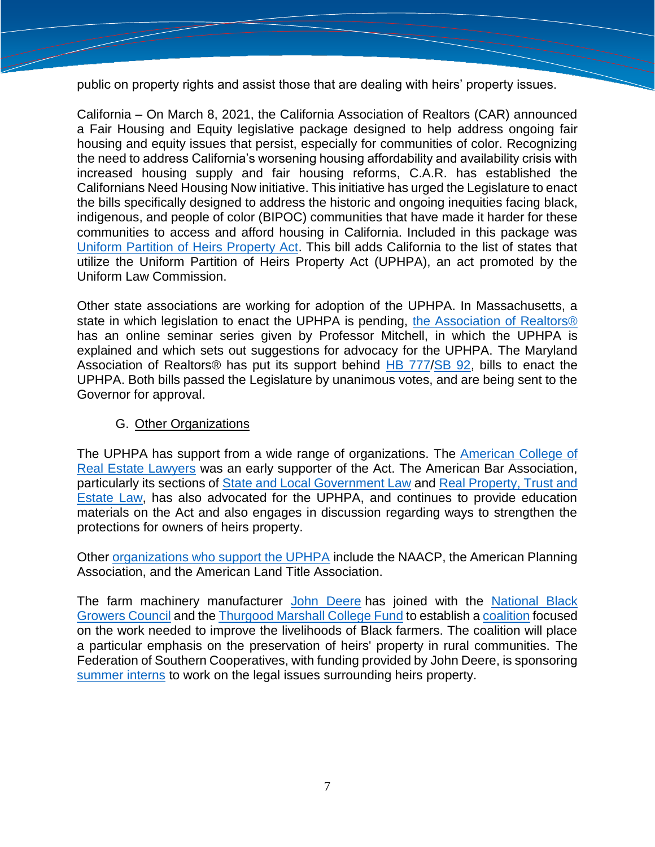public on property rights and assist those that are dealing with heirs' property issues.

California – On March 8, 2021, the California Association of Realtors (CAR) announced a Fair Housing and Equity legislative package designed to help address ongoing fair housing and equity issues that persist, especially for communities of color. Recognizing the need to address California's worsening housing affordability and availability crisis with increased housing supply and fair housing reforms, C.A.R. has established the Californians Need Housing Now initiative. This initiative has urged the Legislature to enact the bills specifically designed to address the historic and ongoing inequities facing black, indigenous, and people of color (BIPOC) communities that have made it harder for these communities to access and afford housing in California. Included in this package was [Uniform Partition of Heirs Property Act.](https://leginfo.legislature.ca.gov/faces/codes_displayText.xhtml?lawCode=CCP&division=&title=10.5.&part=2.&chapter=10.&article=) This bill adds California to the list of states that utilize the Uniform Partition of Heirs Property Act (UPHPA), an act promoted by the Uniform Law Commission.

Other state associations are working for adoption of the UPHPA. In Massachusetts, a state in which legislation to enact the UPHPA is pending, [the Association of Realtors®](https://www.marealtor.com/fair-housing/) has an online seminar series given by Professor Mitchell, in which the UPHPA is explained and which sets out suggestions for advocacy for the UPHPA. The Maryland Association of Realtors® has put its support behind [HB 777](https://mgaleg.maryland.gov/mgawebsite/Legislation/Details/HB0777?ys=2022RS)[/SB 92,](https://mgaleg.maryland.gov/mgawebsite/Legislation/Details/SB0092?ys=2022RS) bills to enact the UPHPA. Both bills passed the Legislature by unanimous votes, and are being sent to the Governor for approval.

#### G. Other Organizations

The UPHPA has support from a wide range of organizations. The [American College of](https://www.uniformlaws.org/HigherLogic/System/DownloadDocumentFile.ashx?DocumentFileKey=22edc82b-1753-66f5-a2d1-1afc113f305a&forceDialog=0)  [Real Estate Lawyers](https://www.uniformlaws.org/HigherLogic/System/DownloadDocumentFile.ashx?DocumentFileKey=22edc82b-1753-66f5-a2d1-1afc113f305a&forceDialog=0) was an early supporter of the Act. The American Bar Association, particularly its sections of State [and Local Government Law](https://www.americanbar.org/news/abanews/aba-news-archives/2021/08/aba-heirs-conference-to-explore-stronger-laws-to-protect-land--h/) and [Real Property, Trust and](https://www.americanbar.org/groups/state_local_government/publications/state_local_law_news/2016-17/fall/restoring_hope_heirs_property_owners_uniform_partition_heirs_property_act/)  [Estate Law,](https://www.americanbar.org/groups/state_local_government/publications/state_local_law_news/2016-17/fall/restoring_hope_heirs_property_owners_uniform_partition_heirs_property_act/) has also advocated for the UPHPA, and continues to provide education materials on the Act and also engages in discussion regarding ways to strengthen the protections for owners of heirs property.

Other [organizations who support the UPHPA](https://www.uniformlaws.org/HigherLogic/System/DownloadDocumentFile.ashx?DocumentFileKey=0eb33adf-6631-aad3-a65c-59593348c817&forceDialog=0) include the NAACP, the American Planning Association, and the American Land Title Association.

The farm machinery manufacturer [John Deere](https://www.deere.com/en/index.html) has joined with the [National Black](https://nationalblackgrowerscouncil.com/)  [Growers Council](https://nationalblackgrowerscouncil.com/) and the [Thurgood Marshall College Fund](https://www.tmcf.org/) to establish a [coalition](https://www.prnewswire.com/news-releases/john-deere-the-national-black-growers-council-and-the-thurgood-marshall-college-fund-announce-coalition-to-preserve-heirs-property-in-rural-us-communities-301131430.html) focused on the work needed to improve the livelihoods of Black farmers. The coalition will place a particular emphasis on the preservation of heirs' property in rural communities. The Federation of Southern Cooperatives, with funding provided by John Deere, is sponsoring [summer interns](https://www.federation.coop/) to work on the legal issues surrounding heirs property.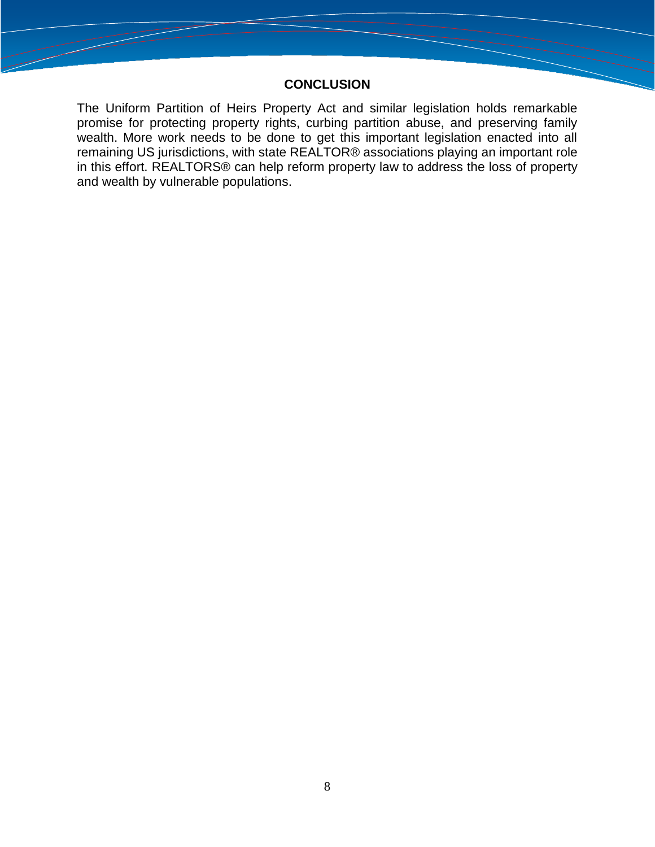#### **CONCLUSION**

The Uniform Partition of Heirs Property Act and similar legislation holds remarkable promise for protecting property rights, curbing partition abuse, and preserving family wealth. More work needs to be done to get this important legislation enacted into all remaining US jurisdictions, with state REALTOR® associations playing an important role in this effort. REALTORS® can help reform property law to address the loss of property and wealth by vulnerable populations.